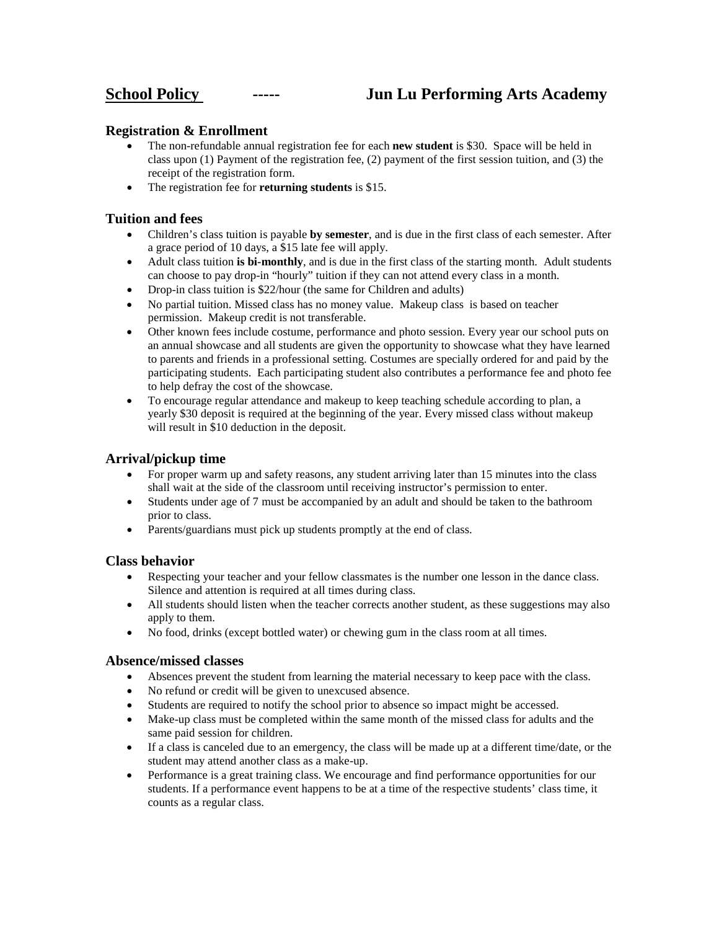# **School Policy ----- Jun Lu Performing Arts Academy**

## **Registration & Enrollment**

- The non-refundable annual registration fee for each **new student** is \$30. Space will be held in class upon (1) Payment of the registration fee, (2) payment of the first session tuition, and (3) the receipt of the registration form.
- The registration fee for **returning students** is \$15.

#### **Tuition and fees**

- Children's class tuition is payable **by semester**, and is due in the first class of each semester. After a grace period of 10 days, a \$15 late fee will apply.
- Adult class tuition **is bi-monthly**, and is due in the first class of the starting month. Adult students can choose to pay drop-in "hourly" tuition if they can not attend every class in a month.
- Drop-in class tuition is \$22/hour (the same for Children and adults)
- No partial tuition. Missed class has no money value. Makeup class is based on teacher permission. Makeup credit is not transferable.
- Other known fees include costume, performance and photo session. Every year our school puts on an annual showcase and all students are given the opportunity to showcase what they have learned to parents and friends in a professional setting. Costumes are specially ordered for and paid by the participating students. Each participating student also contributes a performance fee and photo fee to help defray the cost of the showcase.
- To encourage regular attendance and makeup to keep teaching schedule according to plan, a yearly \$30 deposit is required at the beginning of the year. Every missed class without makeup will result in \$10 deduction in the deposit.

## **Arrival/pickup time**

- For proper warm up and safety reasons, any student arriving later than 15 minutes into the class shall wait at the side of the classroom until receiving instructor's permission to enter.
- Students under age of 7 must be accompanied by an adult and should be taken to the bathroom prior to class.
- Parents/guardians must pick up students promptly at the end of class.

#### **Class behavior**

- Respecting your teacher and your fellow classmates is the number one lesson in the dance class. Silence and attention is required at all times during class.
- All students should listen when the teacher corrects another student, as these suggestions may also apply to them.
- No food, drinks (except bottled water) or chewing gum in the class room at all times.

#### **Absence/missed classes**

- Absences prevent the student from learning the material necessary to keep pace with the class.
- No refund or credit will be given to unexcused absence.
- Students are required to notify the school prior to absence so impact might be accessed.
- Make-up class must be completed within the same month of the missed class for adults and the same paid session for children.
- If a class is canceled due to an emergency, the class will be made up at a different time/date, or the student may attend another class as a make-up.
- Performance is a great training class. We encourage and find performance opportunities for our students. If a performance event happens to be at a time of the respective students' class time, it counts as a regular class.